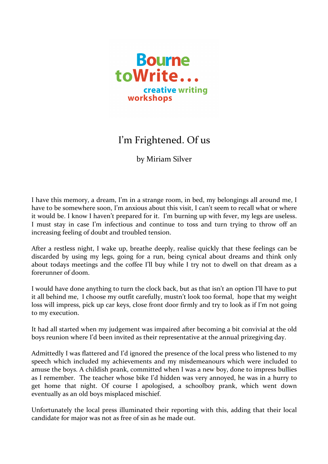

## I'm Frightened. Of us

by Miriam Silver

I have this memory, a dream, I'm in a strange room, in bed, my belongings all around me, I have to be somewhere soon, I'm anxious about this visit, I can't seem to recall what or where it would be. I know I haven't prepared for it. I'm burning up with fever, my legs are useless. I must stay in case I'm infectious and continue to toss and turn trying to throw off an increasing feeling of doubt and troubled tension.

After a restless night, I wake up, breathe deeply, realise quickly that these feelings can be discarded by using my legs, going for a run, being cynical about dreams and think only about todays meetings and the coffee I'll buy while I try not to dwell on that dream as a forerunner of doom.

I would have done anything to turn the clock back, but as that isn't an option I'll have to put it all behind me, I choose my outfit carefully, mustn't look too formal, hope that my weight loss will impress, pick up car keys, close front door firmly and try to look as if I'm not going to my execution.

It had all started when my judgement was impaired after becoming a bit convivial at the old boys reunion where I'd been invited as their representative at the annual prizegiving day.

Admittedly I was flattered and I'd ignored the presence of the local press who listened to my speech which included my achievements and my misdemeanours which were included to amuse the boys. A childish prank, committed when I was a new boy, done to impress bullies as I remember. The teacher whose bike I'd hidden was very annoyed, he was in a hurry to get home that night. Of course I apologised, a schoolboy prank, which went down eventually as an old boys misplaced mischief.

Unfortunately the local press illuminated their reporting with this, adding that their local candidate for major was not as free of sin as he made out.